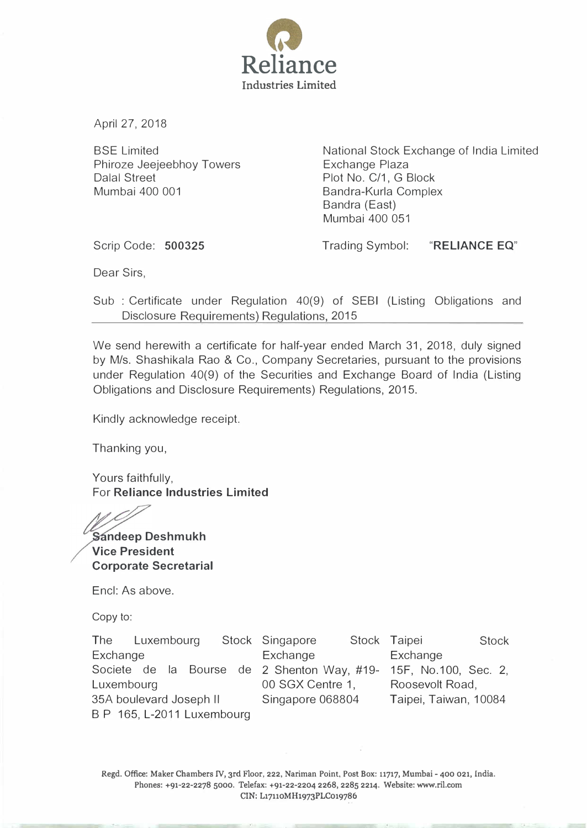

April 27, 2018

BSE Limited Phiroze Jeejeebhoy Towers Dalal Street Mumbai 400 001

National Stock Exchange of India Limited Exchange Plaza Plot No. C/1, G Block Bandra-Kurla Complex Bandra (East) Mumbai 400 051

Scrip Code: 500325

Trading Symbol: "RELIANCE EQ"

Dear Sirs,

Sub : Certificate under Regulation 40(9) of SEBI (Listing Obligations and Disclosure Requirements) Regulations, 2015

We send herewith a certificate for half-year ended March 31, 2018, duly signed by M/s. Shashikala Rao & Co., Company Secretaries, pursuant to the provisions under Regulation 40(9) of the Securities and Exchange Board of India (Listing Obligations and Disclosure Requirements) Regulations, 2015.

Kindly acknowledge receipt.

Thanking you,

Yours faithfully, For Reliance Industries Limited

Sandeep Deshmukh Vice President Corporate Secretarial

Encl: As above.

Copy to:

The Luxembourg **Exchange** Societe de Ia Bourse de 2 Shenton Way, #19- Luxembourg 35A boulevard Joseph II B P 165, L-2011 Luxembourg Stock Singapore **Exchange** Stock Taipei Stock 00 SGX Centre 1, Singapore 068804 Exchange 15F, No.100, Sec. 2, Roosevolt Road, Taipei, Taiwan, 10084

Regd. Office: Maker Chambers IV, 3rd Floor, 222, Nariman Point, Post Box: 11717, Mumbai- 400 021, India. Phones: +91-22-2278 5000. Telefax: +91-22-2204 2268, 2285 2214. Website: www.ril.com CIN: L17110MH1973PLC019786